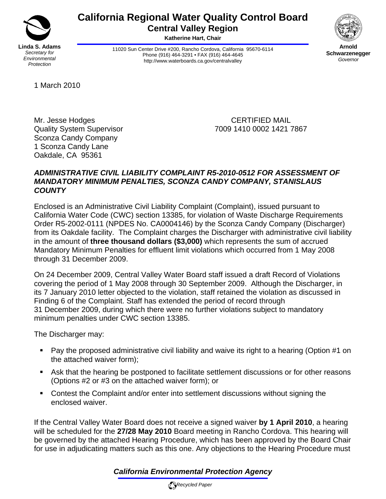

# **California Regional Water Quality Control Board Central Valley Region**

**Katherine Hart, Chair** 

11020 Sun Center Drive #200, Rancho Cordova, California 95670-6114 Phone (916) 464-3291 • FAX (916) 464-4645 http://www.waterboards.ca.gov/centralvalley



**Arnold Schwarzenegger** *Governor* 

1 March 2010

Mr. Jesse Hodges **CERTIFIED MAIL** Sconza Candy Company 1 Sconza Candy Lane Oakdale, CA 95361

Quality System Supervisor 7009 1410 0002 1421 7867

# *ADMINISTRATIVE CIVIL LIABILITY COMPLAINT R5-2010-0512 FOR ASSESSMENT OF MANDATORY MINIMUM PENALTIES, SCONZA CANDY COMPANY, STANISLAUS COUNTY*

Enclosed is an Administrative Civil Liability Complaint (Complaint), issued pursuant to California Water Code (CWC) section 13385, for violation of Waste Discharge Requirements Order R5-2002-0111 (NPDES No. CA0004146) by the Sconza Candy Company (Discharger) from its Oakdale facility. The Complaint charges the Discharger with administrative civil liability in the amount of **three thousand dollars (\$3,000)** which represents the sum of accrued Mandatory Minimum Penalties for effluent limit violations which occurred from 1 May 2008 through 31 December 2009.

On 24 December 2009, Central Valley Water Board staff issued a draft Record of Violations covering the period of 1 May 2008 through 30 September 2009. Although the Discharger, in its 7 January 2010 letter objected to the violation, staff retained the violation as discussed in Finding 6 of the Complaint. Staff has extended the period of record through 31 December 2009, during which there were no further violations subject to mandatory minimum penalties under CWC section 13385.

The Discharger may:

- Pay the proposed administrative civil liability and waive its right to a hearing (Option #1 on the attached waiver form);
- Ask that the hearing be postponed to facilitate settlement discussions or for other reasons (Options #2 or #3 on the attached waiver form); or
- Contest the Complaint and/or enter into settlement discussions without signing the enclosed waiver.

If the Central Valley Water Board does not receive a signed waiver **by 1 April 2010**, a hearing will be scheduled for the **27/28 May 2010** Board meeting in Rancho Cordova. This hearing will be governed by the attached Hearing Procedure, which has been approved by the Board Chair for use in adjudicating matters such as this one. Any objections to the Hearing Procedure must

# *California Environmental Protection Agency*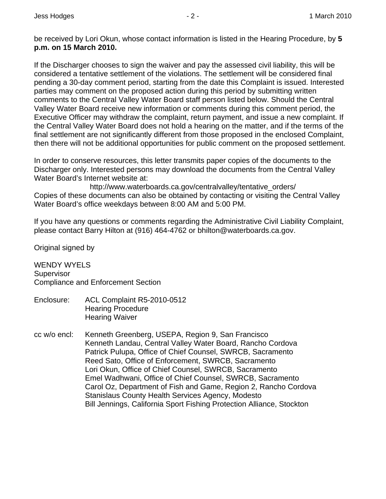be received by Lori Okun, whose contact information is listed in the Hearing Procedure, by **5 p.m. on 15 March 2010.** 

If the Discharger chooses to sign the waiver and pay the assessed civil liability, this will be considered a tentative settlement of the violations. The settlement will be considered final pending a 30-day comment period, starting from the date this Complaint is issued. Interested parties may comment on the proposed action during this period by submitting written comments to the Central Valley Water Board staff person listed below. Should the Central Valley Water Board receive new information or comments during this comment period, the Executive Officer may withdraw the complaint, return payment, and issue a new complaint. If the Central Valley Water Board does not hold a hearing on the matter, and if the terms of the final settlement are not significantly different from those proposed in the enclosed Complaint, then there will not be additional opportunities for public comment on the proposed settlement.

In order to conserve resources, this letter transmits paper copies of the documents to the Discharger only. Interested persons may download the documents from the Central Valley Water Board's Internet website at:

http://www.waterboards.ca.gov/centralvalley/tentative\_orders/ Copies of these documents can also be obtained by contacting or visiting the Central Valley Water Board's office weekdays between 8:00 AM and 5:00 PM.

If you have any questions or comments regarding the Administrative Civil Liability Complaint, please contact Barry Hilton at (916) 464-4762 or bhilton@waterboards.ca.gov.

Original signed by

WENDY WYFLS **Supervisor** Compliance and Enforcement Section

- Enclosure: ACL Complaint R5-2010-0512 Hearing Procedure Hearing Waiver
- cc w/o encl: Kenneth Greenberg, USEPA, Region 9, San Francisco Kenneth Landau, Central Valley Water Board, Rancho Cordova Patrick Pulupa, Office of Chief Counsel, SWRCB, Sacramento Reed Sato, Office of Enforcement, SWRCB, Sacramento Lori Okun, Office of Chief Counsel, SWRCB, Sacramento Emel Wadhwani, Office of Chief Counsel, SWRCB, Sacramento Carol Oz, Department of Fish and Game, Region 2, Rancho Cordova Stanislaus County Health Services Agency, Modesto Bill Jennings, California Sport Fishing Protection Alliance, Stockton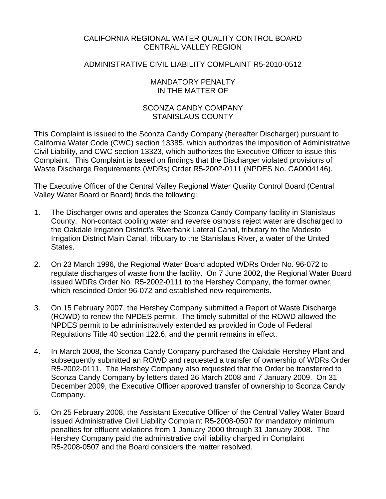# CALIFORNIA REGIONAL WATER QUALITY CONTROL BOARD CENTRAL VALLEY REGION

# ADMINISTRATIVE CIVIL LIABILITY COMPLAINT R5-2010-0512

## MANDATORY PENALTY IN THE MATTER OF

# SCONZA CANDY COMPANY STANISLAUS COUNTY

This Complaint is issued to the Sconza Candy Company (hereafter Discharger) pursuant to California Water Code (CWC) section 13385, which authorizes the imposition of Administrative Civil Liability, and CWC section 13323, which authorizes the Executive Officer to issue this Complaint. This Complaint is based on findings that the Discharger violated provisions of Waste Discharge Requirements (WDRs) Order R5-2002-0111 (NPDES No. CA0004146).

The Executive Officer of the Central Valley Regional Water Quality Control Board (Central Valley Water Board or Board) finds the following:

- 1. The Discharger owns and operates the Sconza Candy Company facility in Stanislaus County. Non-contact cooling water and reverse osmosis reject water are discharged to the Oakdale Irrigation District's Riverbank Lateral Canal, tributary to the Modesto Irrigation District Main Canal, tributary to the Stanislaus River, a water of the United States.
- 2. On 23 March 1996, the Regional Water Board adopted WDRs Order No. 96-072 to regulate discharges of waste from the facility. On 7 June 2002, the Regional Water Board issued WDRs Order No. R5-2002-0111 to the Hershey Company, the former owner, which rescinded Order 96-072 and established new requirements.
- 3. On 15 February 2007, the Hershey Company submitted a Report of Waste Discharge (ROWD) to renew the NPDES permit. The timely submittal of the ROWD allowed the NPDES permit to be administratively extended as provided in Code of Federal Regulations Title 40 section 122.6, and the permit remains in effect.
- 4. In March 2008, the Sconza Candy Company purchased the Oakdale Hershey Plant and subsequently submitted an ROWD and requested a transfer of ownership of WDRs Order R5-2002-0111. The Hershey Company also requested that the Order be transferred to Sconza Candy Company by letters dated 26 March 2008 and 7 January 2009. On 31 December 2009, the Executive Officer approved transfer of ownership to Sconza Candy Company.
- 5. On 25 February 2008, the Assistant Executive Officer of the Central Valley Water Board issued Administrative Civil Liability Complaint R5-2008-0507 for mandatory minimum penalties for effluent violations from 1 January 2000 through 31 January 2008. The Hershey Company paid the administrative civil liability charged in Complaint R5-2008-0507 and the Board considers the matter resolved.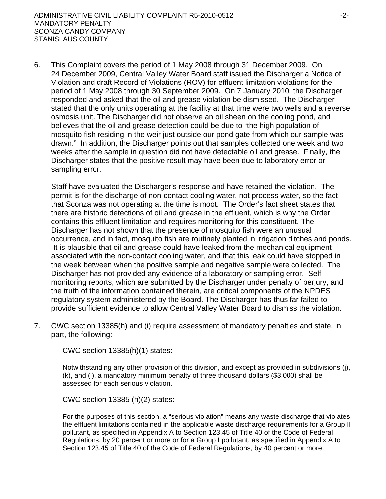6. This Complaint covers the period of 1 May 2008 through 31 December 2009. On 24 December 2009, Central Valley Water Board staff issued the Discharger a Notice of Violation and draft Record of Violations (ROV) for effluent limitation violations for the period of 1 May 2008 through 30 September 2009. On 7 January 2010, the Discharger responded and asked that the oil and grease violation be dismissed. The Discharger stated that the only units operating at the facility at that time were two wells and a reverse osmosis unit. The Discharger did not observe an oil sheen on the cooling pond, and believes that the oil and grease detection could be due to "the high population of mosquito fish residing in the weir just outside our pond gate from which our sample was drawn." In addition, the Discharger points out that samples collected one week and two weeks after the sample in question did not have detectable oil and grease. Finally, the Discharger states that the positive result may have been due to laboratory error or sampling error.

Staff have evaluated the Discharger's response and have retained the violation. The permit is for the discharge of non-contact cooling water, not process water, so the fact that Sconza was not operating at the time is moot. The Order's fact sheet states that there are historic detections of oil and grease in the effluent, which is why the Order contains this effluent limitation and requires monitoring for this constituent. The Discharger has not shown that the presence of mosquito fish were an unusual occurrence, and in fact, mosquito fish are routinely planted in irrigation ditches and ponds. It is plausible that oil and grease could have leaked from the mechanical equipment associated with the non-contact cooling water, and that this leak could have stopped in the week between when the positive sample and negative sample were collected. The Discharger has not provided any evidence of a laboratory or sampling error. Selfmonitoring reports, which are submitted by the Discharger under penalty of perjury, and the truth of the information contained therein, are critical components of the NPDES regulatory system administered by the Board. The Discharger has thus far failed to provide sufficient evidence to allow Central Valley Water Board to dismiss the violation.

7. CWC section 13385(h) and (i) require assessment of mandatory penalties and state, in part, the following:

CWC section 13385(h)(1) states:

Notwithstanding any other provision of this division, and except as provided in subdivisions (j), (k), and (l), a mandatory minimum penalty of three thousand dollars (\$3,000) shall be assessed for each serious violation.

CWC section 13385 (h)(2) states:

For the purposes of this section, a "serious violation" means any waste discharge that violates the effluent limitations contained in the applicable waste discharge requirements for a Group II pollutant, as specified in Appendix A to Section 123.45 of Title 40 of the Code of Federal Regulations, by 20 percent or more or for a Group I pollutant, as specified in Appendix A to Section 123.45 of Title 40 of the Code of Federal Regulations, by 40 percent or more.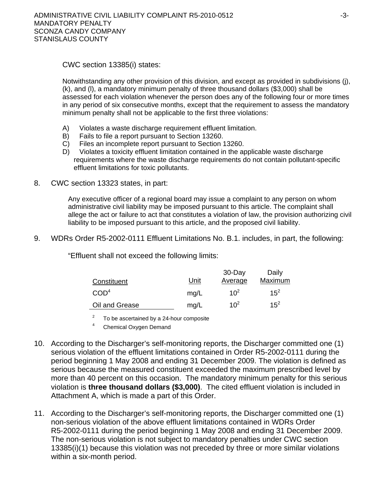CWC section 13385(i) states:

Notwithstanding any other provision of this division, and except as provided in subdivisions (j), (k), and (l), a mandatory minimum penalty of three thousand dollars (\$3,000) shall be assessed for each violation whenever the person does any of the following four or more times in any period of six consecutive months, except that the requirement to assess the mandatory minimum penalty shall not be applicable to the first three violations:

- A) Violates a waste discharge requirement effluent limitation.
- B) Fails to file a report pursuant to Section 13260.
- C) Files an incomplete report pursuant to Section 13260.
- D) Violates a toxicity effluent limitation contained in the applicable waste discharge requirements where the waste discharge requirements do not contain pollutant-specific effluent limitations for toxic pollutants.
- 8. CWC section 13323 states, in part:

Any executive officer of a regional board may issue a complaint to any person on whom administrative civil liability may be imposed pursuant to this article. The complaint shall allege the act or failure to act that constitutes a violation of law, the provision authorizing civil liability to be imposed pursuant to this article, and the proposed civil liability.

9. WDRs Order R5-2002-0111 Effluent Limitations No. B.1. includes, in part, the following:

"Effluent shall not exceed the following limits:

|                  |      | $30 - Day$     | Daily    |
|------------------|------|----------------|----------|
| Constituent      | Unit | <u>Average</u> | Maximum  |
| COD <sup>4</sup> | mq/L | $10^2$         | $15^{2}$ |
| Oil and Grease   | mg/L | $10^2$         | $15^2$   |

<sup>2</sup> To be ascertained by a 24-hour composite  $\frac{4}{1}$  Chamisel Quarter Demand

Chemical Oxygen Demand

- 10. According to the Discharger's self-monitoring reports, the Discharger committed one (1) serious violation of the effluent limitations contained in Order R5-2002-0111 during the period beginning 1 May 2008 and ending 31 December 2009. The violation is defined as serious because the measured constituent exceeded the maximum prescribed level by more than 40 percent on this occasion. The mandatory minimum penalty for this serious violation is **three thousand dollars (\$3,000)**. The cited effluent violation is included in Attachment A, which is made a part of this Order.
- 11. According to the Discharger's self-monitoring reports, the Discharger committed one (1) non-serious violation of the above effluent limitations contained in WDRs Order R5-2002-0111 during the period beginning 1 May 2008 and ending 31 December 2009. The non-serious violation is not subject to mandatory penalties under CWC section 13385(i)(1) because this violation was not preceded by three or more similar violations within a six-month period.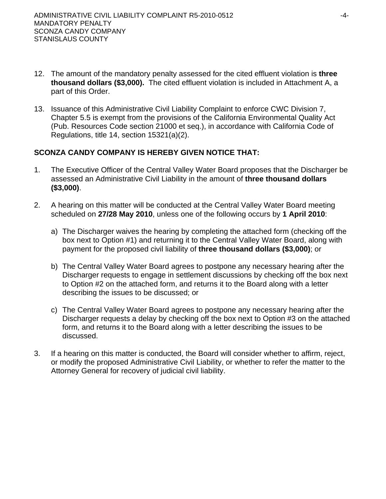- 12. The amount of the mandatory penalty assessed for the cited effluent violation is **three thousand dollars (\$3,000).** The cited effluent violation is included in Attachment A, a part of this Order.
- 13. Issuance of this Administrative Civil Liability Complaint to enforce CWC Division 7, Chapter 5.5 is exempt from the provisions of the California Environmental Quality Act (Pub. Resources Code section 21000 et seq.), in accordance with California Code of Regulations, title 14, section 15321(a)(2).

# **SCONZA CANDY COMPANY IS HEREBY GIVEN NOTICE THAT:**

- 1. The Executive Officer of the Central Valley Water Board proposes that the Discharger be assessed an Administrative Civil Liability in the amount of **three thousand dollars (\$3,000)**.
- 2. A hearing on this matter will be conducted at the Central Valley Water Board meeting scheduled on **27/28 May 2010**, unless one of the following occurs by **1 April 2010**:
	- a) The Discharger waives the hearing by completing the attached form (checking off the box next to Option #1) and returning it to the Central Valley Water Board, along with payment for the proposed civil liability of **three thousand dollars (\$3,000)**; or
	- b) The Central Valley Water Board agrees to postpone any necessary hearing after the Discharger requests to engage in settlement discussions by checking off the box next to Option #2 on the attached form, and returns it to the Board along with a letter describing the issues to be discussed; or
	- c) The Central Valley Water Board agrees to postpone any necessary hearing after the Discharger requests a delay by checking off the box next to Option #3 on the attached form, and returns it to the Board along with a letter describing the issues to be discussed.
- 3. If a hearing on this matter is conducted, the Board will consider whether to affirm, reject, or modify the proposed Administrative Civil Liability, or whether to refer the matter to the Attorney General for recovery of judicial civil liability.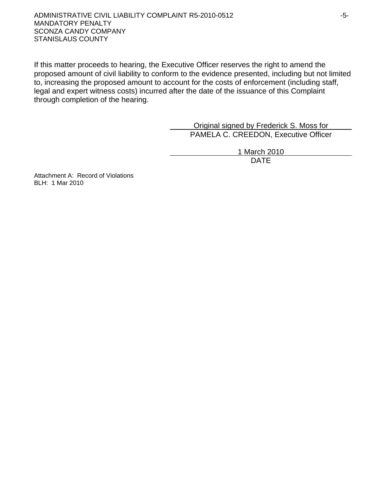#### ADMINISTRATIVE CIVIL LIABILITY COMPLAINT R5-2010-0512 -5- MANDATORY PENALTY SCONZA CANDY COMPANY STANISLAUS COUNTY

If this matter proceeds to hearing, the Executive Officer reserves the right to amend the proposed amount of civil liability to conform to the evidence presented, including but not limited to, increasing the proposed amount to account for the costs of enforcement (including staff, legal and expert witness costs) incurred after the date of the issuance of this Complaint through completion of the hearing.

> Original signed by Frederick S. Moss for PAMELA C. CREEDON, Executive Officer

1 March 2010 design and the contract of the contract of the DATE of the contract of the contract of the contract of the contract of the contract of the contract of the contract of the contract of the contract of the contract of the con

Attachment A: Record of Violations BLH: 1 Mar 2010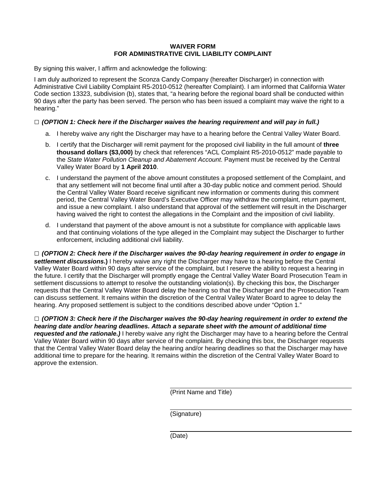#### **WAIVER FORM FOR ADMINISTRATIVE CIVIL LIABILITY COMPLAINT**

By signing this waiver, I affirm and acknowledge the following:

I am duly authorized to represent the Sconza Candy Company (hereafter Discharger) in connection with Administrative Civil Liability Complaint R5-2010-0512 (hereafter Complaint). I am informed that California Water Code section 13323, subdivision (b), states that, "a hearing before the regional board shall be conducted within 90 days after the party has been served. The person who has been issued a complaint may waive the right to a hearing."

#### **□** *(OPTION 1: Check here if the Discharger waives the hearing requirement and will pay in full.)*

- a. I hereby waive any right the Discharger may have to a hearing before the Central Valley Water Board.
- b. I certify that the Discharger will remit payment for the proposed civil liability in the full amount of **three thousand dollars (\$3,000)** by check that references "ACL Complaint R5-2010-0512" made payable to the *State Water Pollution Cleanup and Abatement Account*. Payment must be received by the Central Valley Water Board by **1 April 2010**.
- c. I understand the payment of the above amount constitutes a proposed settlement of the Complaint, and that any settlement will not become final until after a 30-day public notice and comment period. Should the Central Valley Water Board receive significant new information or comments during this comment period, the Central Valley Water Board's Executive Officer may withdraw the complaint, return payment, and issue a new complaint. I also understand that approval of the settlement will result in the Discharger having waived the right to contest the allegations in the Complaint and the imposition of civil liability.
- d. I understand that payment of the above amount is not a substitute for compliance with applicable laws and that continuing violations of the type alleged in the Complaint may subject the Discharger to further enforcement, including additional civil liability.

**□** *(OPTION 2: Check here if the Discharger waives the 90-day hearing requirement in order to engage in settlement discussions***.)** I hereby waive any right the Discharger may have to a hearing before the Central Valley Water Board within 90 days after service of the complaint, but I reserve the ability to request a hearing in the future. I certify that the Discharger will promptly engage the Central Valley Water Board Prosecution Team in settlement discussions to attempt to resolve the outstanding violation(s). By checking this box, the Discharger requests that the Central Valley Water Board delay the hearing so that the Discharger and the Prosecution Team can discuss settlement. It remains within the discretion of the Central Valley Water Board to agree to delay the hearing. Any proposed settlement is subject to the conditions described above under "Option 1."

**□** *(OPTION 3: Check here if the Discharger waives the 90-day hearing requirement in order to extend the hearing date and/or hearing deadlines. Attach a separate sheet with the amount of additional time requested and the rationale.)* I hereby waive any right the Discharger may have to a hearing before the Central Valley Water Board within 90 days after service of the complaint. By checking this box, the Discharger requests that the Central Valley Water Board delay the hearing and/or hearing deadlines so that the Discharger may have additional time to prepare for the hearing. It remains within the discretion of the Central Valley Water Board to approve the extension.

(Print Name and Title)

(Signature)

(Date)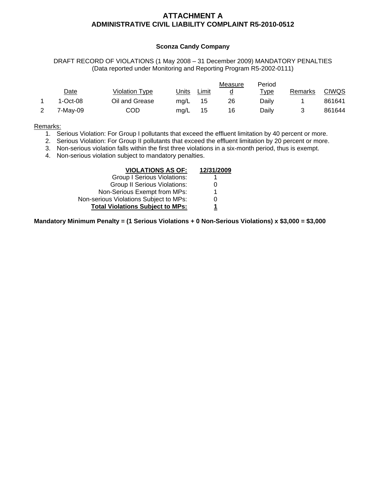## **ATTACHMENT A ADMINISTRATIVE CIVIL LIABILITY COMPLAINT R5-2010-0512**

#### **Sconza Candy Company**

DRAFT RECORD OF VIOLATIONS (1 May 2008 – 31 December 2009) MANDATORY PENALTIES (Data reported under Monitoring and Reporting Program R5-2002-0111)

|            |                |       |       | Measure | Period       |         |              |
|------------|----------------|-------|-------|---------|--------------|---------|--------------|
| Date       | Violation Type | Units | Limit |         | <u> Type</u> | Remarks | <b>CIWQS</b> |
| $1-Oct-08$ | Oil and Grease | ma/L  | 15    | 26      | Daily        |         | 861641       |
| 7-Mav-09   | COD            | mg/L  | 15    | 16      | Daily        |         | 861644       |

#### Remarks:

- 1. Serious Violation: For Group I pollutants that exceed the effluent limitation by 40 percent or more.
- 2. Serious Violation: For Group II pollutants that exceed the effluent limitation by 20 percent or more.
- 3. Non-serious violation falls within the first three violations in a six-month period, thus is exempt.
- 4. Non-serious violation subject to mandatory penalties.

| <b>VIOLATIONS AS OF:</b>                | 12/31/2009 |
|-----------------------------------------|------------|
| <b>Group I Serious Violations:</b>      |            |
| <b>Group II Serious Violations:</b>     |            |
| Non-Serious Exempt from MPs:            |            |
| Non-serious Violations Subject to MPs:  |            |
| <b>Total Violations Subject to MPs:</b> |            |

**Mandatory Minimum Penalty = (1 Serious Violations + 0 Non-Serious Violations) x \$3,000 = \$3,000**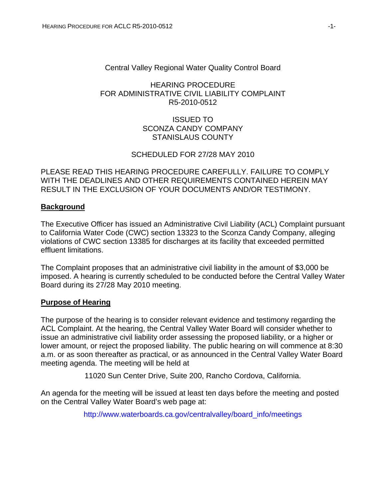# Central Valley Regional Water Quality Control Board

## HEARING PROCEDURE FOR ADMINISTRATIVE CIVIL LIABILITY COMPLAINT R5-2010-0512

# ISSUED TO SCONZA CANDY COMPANY STANISLAUS COUNTY

# SCHEDULED FOR 27/28 MAY 2010

# PLEASE READ THIS HEARING PROCEDURE CAREFULLY. FAILURE TO COMPLY WITH THE DEADLINES AND OTHER REQUIREMENTS CONTAINED HEREIN MAY RESULT IN THE EXCLUSION OF YOUR DOCUMENTS AND/OR TESTIMONY.

## **Background**

The Executive Officer has issued an Administrative Civil Liability (ACL) Complaint pursuant to California Water Code (CWC) section 13323 to the Sconza Candy Company, alleging violations of CWC section 13385 for discharges at its facility that exceeded permitted effluent limitations.

The Complaint proposes that an administrative civil liability in the amount of \$3,000 be imposed. A hearing is currently scheduled to be conducted before the Central Valley Water Board during its 27/28 May 2010 meeting.

#### **Purpose of Hearing**

The purpose of the hearing is to consider relevant evidence and testimony regarding the ACL Complaint. At the hearing, the Central Valley Water Board will consider whether to issue an administrative civil liability order assessing the proposed liability, or a higher or lower amount, or reject the proposed liability. The public hearing on will commence at 8:30 a.m. or as soon thereafter as practical, or as announced in the Central Valley Water Board meeting agenda. The meeting will be held at

11020 Sun Center Drive, Suite 200, Rancho Cordova, California.

An agenda for the meeting will be issued at least ten days before the meeting and posted on the Central Valley Water Board's web page at:

[http://www.waterboards.ca.gov/centralvalley/board\\_info/meetings](http://www.waterboards.ca.gov/centralvalley/board_info/meetings)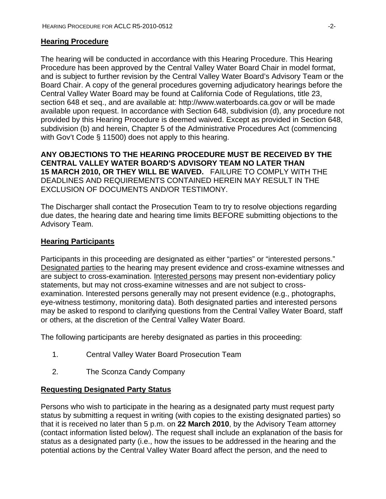## **Hearing Procedure**

The hearing will be conducted in accordance with this Hearing Procedure. This Hearing Procedure has been approved by the Central Valley Water Board Chair in model format, and is subject to further revision by the Central Valley Water Board's Advisory Team or the Board Chair. A copy of the general procedures governing adjudicatory hearings before the Central Valley Water Board may be found at California Code of Regulations, title 23, section 648 et seq., and are available at: http://www.waterboards.ca.gov or will be made available upon request. In accordance with Section 648, subdivision (d), any procedure not provided by this Hearing Procedure is deemed waived. Except as provided in Section 648, subdivision (b) and herein, Chapter 5 of the Administrative Procedures Act (commencing with Gov't Code § 11500) does not apply to this hearing.

**ANY OBJECTIONS TO THE HEARING PROCEDURE MUST BE RECEIVED BY THE CENTRAL VALLEY WATER BOARD'S ADVISORY TEAM NO LATER THAN 15 MARCH 2010, OR THEY WILL BE WAIVED.** FAILURE TO COMPLY WITH THE DEADLINES AND REQUIREMENTS CONTAINED HEREIN MAY RESULT IN THE EXCLUSION OF DOCUMENTS AND/OR TESTIMONY.

The Discharger shall contact the Prosecution Team to try to resolve objections regarding due dates, the hearing date and hearing time limits BEFORE submitting objections to the Advisory Team.

## **Hearing Participants**

Participants in this proceeding are designated as either "parties" or "interested persons." Designated parties to the hearing may present evidence and cross-examine witnesses and are subject to cross-examination. Interested persons may present non-evidentiary policy statements, but may not cross-examine witnesses and are not subject to crossexamination. Interested persons generally may not present evidence (e.g., photographs, eye-witness testimony, monitoring data). Both designated parties and interested persons may be asked to respond to clarifying questions from the Central Valley Water Board, staff or others, at the discretion of the Central Valley Water Board.

The following participants are hereby designated as parties in this proceeding:

- 1. Central Valley Water Board Prosecution Team
- 2. The Sconza Candy Company

#### **Requesting Designated Party Status**

Persons who wish to participate in the hearing as a designated party must request party status by submitting a request in writing (with copies to the existing designated parties) so that it is received no later than 5 p.m. on **22 March 2010**, by the Advisory Team attorney (contact information listed below). The request shall include an explanation of the basis for status as a designated party (i.e., how the issues to be addressed in the hearing and the potential actions by the Central Valley Water Board affect the person, and the need to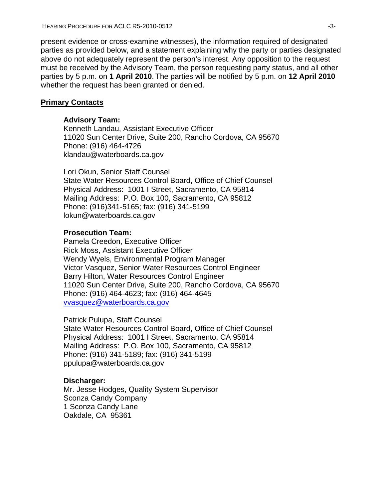present evidence or cross-examine witnesses), the information required of designated parties as provided below, and a statement explaining why the party or parties designated above do not adequately represent the person's interest. Any opposition to the request must be received by the Advisory Team, the person requesting party status, and all other parties by 5 p.m. on **1 April 2010**. The parties will be notified by 5 p.m. on **12 April 2010**  whether the request has been granted or denied.

### **Primary Contacts**

#### **Advisory Team:**

Kenneth Landau, Assistant Executive Officer 11020 Sun Center Drive, Suite 200, Rancho Cordova, CA 95670 Phone: (916) 464-4726 klandau@waterboards.ca.gov

Lori Okun, Senior Staff Counsel State Water Resources Control Board, Office of Chief Counsel Physical Address: 1001 I Street, Sacramento, CA 95814 Mailing Address: P.O. Box 100, Sacramento, CA 95812 Phone: (916)341-5165; fax: (916) 341-5199 lokun@waterboards.ca.gov

#### **Prosecution Team:**

Pamela Creedon, Executive Officer Rick Moss, Assistant Executive Officer Wendy Wyels, Environmental Program Manager Victor Vasquez, Senior Water Resources Control Engineer Barry Hilton, Water Resources Control Engineer 11020 Sun Center Drive, Suite 200, Rancho Cordova, CA 95670 Phone: (916) 464-4623; fax: (916) 464-4645 [vvasquez@waterboards.ca.gov](mailto:vvasquez@waterboards.ca.gov)

Patrick Pulupa, Staff Counsel

State Water Resources Control Board, Office of Chief Counsel Physical Address: 1001 I Street, Sacramento, CA 95814 Mailing Address: P.O. Box 100, Sacramento, CA 95812 Phone: (916) 341-5189; fax: (916) 341-5199 ppulupa@waterboards.ca.gov

#### **Discharger:**

Mr. Jesse Hodges, Quality System Supervisor Sconza Candy Company 1 Sconza Candy Lane Oakdale, CA 95361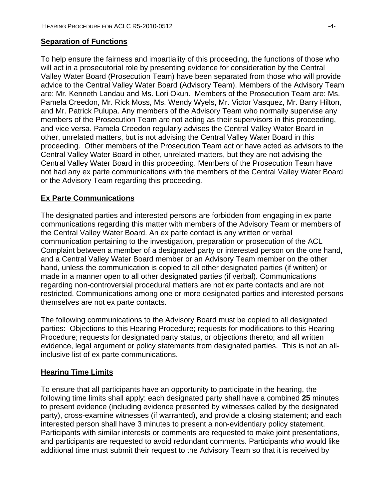# **Separation of Functions**

To help ensure the fairness and impartiality of this proceeding, the functions of those who will act in a prosecutorial role by presenting evidence for consideration by the Central Valley Water Board (Prosecution Team) have been separated from those who will provide advice to the Central Valley Water Board (Advisory Team). Members of the Advisory Team are: Mr. Kenneth Landau and Ms. Lori Okun. Members of the Prosecution Team are: Ms. Pamela Creedon, Mr. Rick Moss, Ms. Wendy Wyels, Mr. Victor Vasquez, Mr. Barry Hilton, and Mr. Patrick Pulupa. Any members of the Advisory Team who normally supervise any members of the Prosecution Team are not acting as their supervisors in this proceeding, and vice versa. Pamela Creedon regularly advises the Central Valley Water Board in other, unrelated matters, but is not advising the Central Valley Water Board in this proceeding. Other members of the Prosecution Team act or have acted as advisors to the Central Valley Water Board in other, unrelated matters, but they are not advising the Central Valley Water Board in this proceeding. Members of the Prosecution Team have not had any ex parte communications with the members of the Central Valley Water Board or the Advisory Team regarding this proceeding.

# **Ex Parte Communications**

The designated parties and interested persons are forbidden from engaging in ex parte communications regarding this matter with members of the Advisory Team or members of the Central Valley Water Board. An ex parte contact is any written or verbal communication pertaining to the investigation, preparation or prosecution of the ACL Complaint between a member of a designated party or interested person on the one hand, and a Central Valley Water Board member or an Advisory Team member on the other hand, unless the communication is copied to all other designated parties (if written) or made in a manner open to all other designated parties (if verbal). Communications regarding non-controversial procedural matters are not ex parte contacts and are not restricted. Communications among one or more designated parties and interested persons themselves are not ex parte contacts.

The following communications to the Advisory Board must be copied to all designated parties: Objections to this Hearing Procedure; requests for modifications to this Hearing Procedure; requests for designated party status, or objections thereto; and all written evidence, legal argument or policy statements from designated parties. This is not an allinclusive list of ex parte communications.

# **Hearing Time Limits**

To ensure that all participants have an opportunity to participate in the hearing, the following time limits shall apply: each designated party shall have a combined **25** minutes to present evidence (including evidence presented by witnesses called by the designated party), cross-examine witnesses (if warranted), and provide a closing statement; and each interested person shall have 3 minutes to present a non-evidentiary policy statement. Participants with similar interests or comments are requested to make joint presentations, and participants are requested to avoid redundant comments. Participants who would like additional time must submit their request to the Advisory Team so that it is received by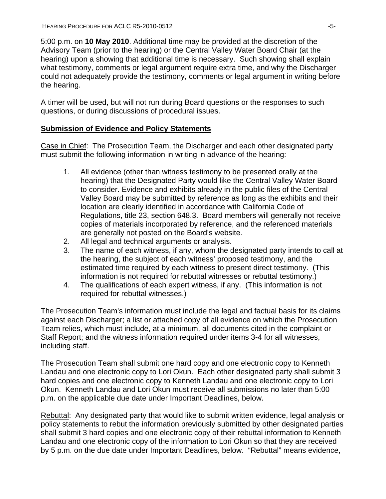5:00 p.m. on **10 May 2010**. Additional time may be provided at the discretion of the Advisory Team (prior to the hearing) or the Central Valley Water Board Chair (at the hearing) upon a showing that additional time is necessary. Such showing shall explain what testimony, comments or legal argument require extra time, and why the Discharger could not adequately provide the testimony, comments or legal argument in writing before the hearing.

A timer will be used, but will not run during Board questions or the responses to such questions, or during discussions of procedural issues.

# **Submission of Evidence and Policy Statements**

Case in Chief: The Prosecution Team, the Discharger and each other designated party must submit the following information in writing in advance of the hearing:

- 1. All evidence (other than witness testimony to be presented orally at the hearing) that the Designated Party would like the Central Valley Water Board to consider. Evidence and exhibits already in the public files of the Central Valley Board may be submitted by reference as long as the exhibits and their location are clearly identified in accordance with California Code of Regulations, title 23, section 648.3. Board members will generally not receive copies of materials incorporated by reference, and the referenced materials are generally not posted on the Board's website.
- 2. All legal and technical arguments or analysis.
- 3. The name of each witness, if any, whom the designated party intends to call at the hearing, the subject of each witness' proposed testimony, and the estimated time required by each witness to present direct testimony. (This information is not required for rebuttal witnesses or rebuttal testimony.)
- 4. The qualifications of each expert witness, if any. (This information is not required for rebuttal witnesses.)

The Prosecution Team's information must include the legal and factual basis for its claims against each Discharger; a list or attached copy of all evidence on which the Prosecution Team relies, which must include, at a minimum, all documents cited in the complaint or Staff Report; and the witness information required under items 3-4 for all witnesses, including staff.

The Prosecution Team shall submit one hard copy and one electronic copy to Kenneth Landau and one electronic copy to Lori Okun. Each other designated party shall submit 3 hard copies and one electronic copy to Kenneth Landau and one electronic copy to Lori Okun. Kenneth Landau and Lori Okun must receive all submissions no later than 5:00 p.m. on the applicable due date under Important Deadlines, below.

Rebuttal: Any designated party that would like to submit written evidence, legal analysis or policy statements to rebut the information previously submitted by other designated parties shall submit 3 hard copies and one electronic copy of their rebuttal information to Kenneth Landau and one electronic copy of the information to Lori Okun so that they are received by 5 p.m. on the due date under Important Deadlines, below. "Rebuttal" means evidence,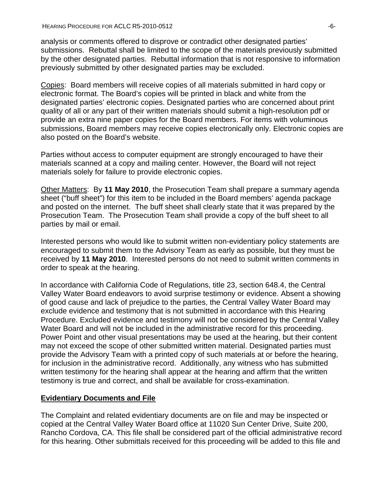analysis or comments offered to disprove or contradict other designated parties' submissions. Rebuttal shall be limited to the scope of the materials previously submitted by the other designated parties. Rebuttal information that is not responsive to information previously submitted by other designated parties may be excluded.

Copies: Board members will receive copies of all materials submitted in hard copy or electronic format. The Board's copies will be printed in black and white from the designated parties' electronic copies. Designated parties who are concerned about print quality of all or any part of their written materials should submit a high-resolution pdf or provide an extra nine paper copies for the Board members. For items with voluminous submissions, Board members may receive copies electronically only. Electronic copies are also posted on the Board's website.

Parties without access to computer equipment are strongly encouraged to have their materials scanned at a copy and mailing center. However, the Board will not reject materials solely for failure to provide electronic copies.

Other Matters: By **11 May 2010**, the Prosecution Team shall prepare a summary agenda sheet ("buff sheet") for this item to be included in the Board members' agenda package and posted on the internet. The buff sheet shall clearly state that it was prepared by the Prosecution Team. The Prosecution Team shall provide a copy of the buff sheet to all parties by mail or email.

Interested persons who would like to submit written non-evidentiary policy statements are encouraged to submit them to the Advisory Team as early as possible, but they must be received by **11 May 2010**. Interested persons do not need to submit written comments in order to speak at the hearing.

In accordance with California Code of Regulations, title 23, section 648.4, the Central Valley Water Board endeavors to avoid surprise testimony or evidence. Absent a showing of good cause and lack of prejudice to the parties, the Central Valley Water Board may exclude evidence and testimony that is not submitted in accordance with this Hearing Procedure. Excluded evidence and testimony will not be considered by the Central Valley Water Board and will not be included in the administrative record for this proceeding. Power Point and other visual presentations may be used at the hearing, but their content may not exceed the scope of other submitted written material. Designated parties must provide the Advisory Team with a printed copy of such materials at or before the hearing, for inclusion in the administrative record. Additionally, any witness who has submitted written testimony for the hearing shall appear at the hearing and affirm that the written testimony is true and correct, and shall be available for cross-examination.

# **Evidentiary Documents and File**

The Complaint and related evidentiary documents are on file and may be inspected or copied at the Central Valley Water Board office at 11020 Sun Center Drive, Suite 200, Rancho Cordova, CA. This file shall be considered part of the official administrative record for this hearing. Other submittals received for this proceeding will be added to this file and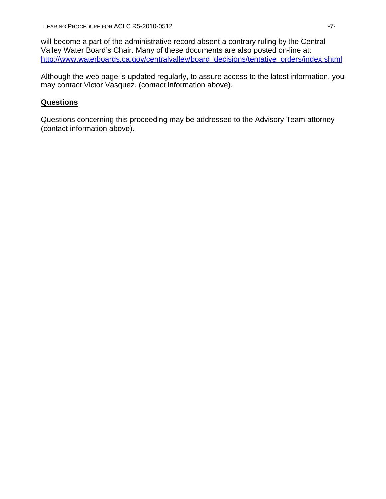will become a part of the administrative record absent a contrary ruling by the Central Valley Water Board's Chair. Many of these documents are also posted on-line at: [http://www.waterboards.ca.gov/centralvalley/board\\_decisions/tentative\\_orders/index.shtml](http://www.waterboards.ca.gov/centralvalley/board_decisions/tentative_orders/index.shtml)

Although the web page is updated regularly, to assure access to the latest information, you may contact Victor Vasquez. (contact information above).

# **Questions**

Questions concerning this proceeding may be addressed to the Advisory Team attorney (contact information above).